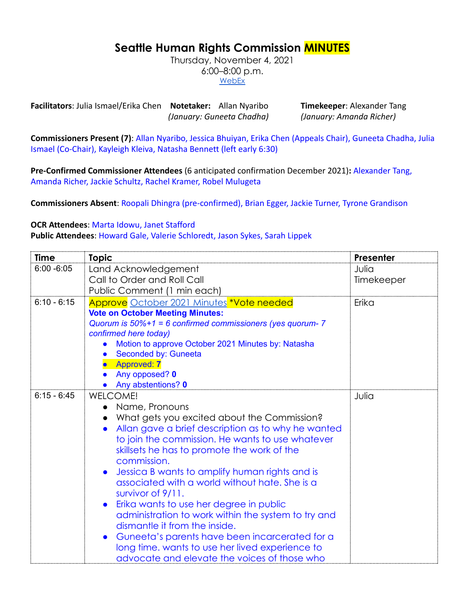## **Seattle Human Rights Commission MINUTES**

Thursday, November 4, 2021 6:00–8:00 p.m. **[WebEx](https://www.seattle.gov/humanrights/calendar)** 

**Facilitators**: Julia Ismael/Erika Chen **Notetaker:** Allan Nyaribo **Timekeeper**: Alexander Tang *(January: Guneeta Chadha) (January: Amanda Richer)*

**Commissioners Present (7)**: Allan Nyaribo, Jessica Bhuiyan, Erika Chen (Appeals Chair), Guneeta Chadha, Julia Ismael (Co-Chair), Kayleigh Kleiva, Natasha Bennett (left early 6:30)

**Pre-Confirmed Commissioner Attendees** (6 anticipated confirmation December 2021)**:** Alexander Tang, Amanda Richer, Jackie Schultz, Rachel Kramer, Robel Mulugeta

**Commissioners Absent**: Roopali Dhingra (pre-confirmed), Brian Egger, Jackie Turner, Tyrone Grandison

## **OCR Attendees**: Marta Idowu, Janet Stafford

**Public Attendees**: Howard Gale, Valerie Schloredt, Jason Sykes, Sarah Lippek

| Time          | <b>Topic</b>                                                                | <b>Presenter</b> |
|---------------|-----------------------------------------------------------------------------|------------------|
| $6:00 - 6:05$ | Land Acknowledgement                                                        | Julia            |
|               | Call to Order and Roll Call                                                 | Timekeeper       |
|               | Public Comment (1 min each)                                                 |                  |
| $6:10 - 6:15$ | Approve October 2021 Minutes *Vote needed                                   | Erika            |
|               | <b>Vote on October Meeting Minutes:</b>                                     |                  |
|               | Quorum is $50\%+1 = 6$ confirmed commissioners (yes quorum- 7               |                  |
|               | confirmed here today)<br>Motion to approve October 2021 Minutes by: Natasha |                  |
|               | Seconded by: Guneeta                                                        |                  |
|               | <b>Approved: 7</b>                                                          |                  |
|               | Any opposed? 0                                                              |                  |
|               | Any abstentions? 0                                                          |                  |
| $6:15 - 6:45$ | <b>WELCOME!</b>                                                             | Julia            |
|               | Name, Pronouns                                                              |                  |
|               | What gets you excited about the Commission?                                 |                  |
|               | Allan gave a brief description as to why he wanted                          |                  |
|               | to join the commission. He wants to use whatever                            |                  |
|               | skillsets he has to promote the work of the                                 |                  |
|               | commission.                                                                 |                  |
|               | Jessica B wants to amplify human rights and is                              |                  |
|               | associated with a world without hate. She is a                              |                  |
|               | survivor of 9/11.                                                           |                  |
|               | Erika wants to use her degree in public                                     |                  |
|               | administration to work within the system to try and                         |                  |
|               | dismantle it from the inside.                                               |                  |
|               | Guneeta's parents have been incarcerated for a                              |                  |
|               | long time. wants to use her lived experience to                             |                  |
|               | advocate and elevate the voices of those who                                |                  |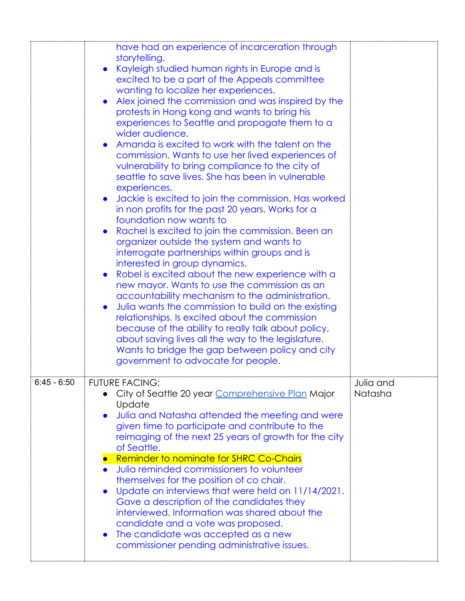|               | have had an experience of incarceration through<br>storytelling.<br>Kayleigh studied human rights in Europe and is<br>excited to be a part of the Appeals committee<br>wanting to localize her experiences.<br>Alex joined the commission and was inspired by the<br>protests in Hong kong and wants to bring his<br>experiences to Seattle and propagate them to a<br>wider audience.<br>Amanda is excited to work with the talent on the<br>commission. Wants to use her lived experiences of<br>vulnerability to bring compliance to the city of<br>seattle to save lives. She has been in vulnerable<br>experiences.<br>Jackie is excited to join the commission. Has worked<br>in non profits for the past 20 years. Works for a<br>foundation now wants to<br>Rachel is excited to join the commission. Been an<br>organizer outside the system and wants to<br>interrogate partnerships within groups and is<br>interested in group dynamics.<br>Robel is excited about the new experience with a<br>new mayor. Wants to use the commission as an<br>accountability mechanism to the administration.<br>Julia wants the commission to build on the existing<br>relationships. Is excited about the commission<br>because of the ability to really talk about policy,<br>about saving lives all the way to the legislature.<br>Wants to bridge the gap between policy and city<br>government to advocate for people. |                      |
|---------------|----------------------------------------------------------------------------------------------------------------------------------------------------------------------------------------------------------------------------------------------------------------------------------------------------------------------------------------------------------------------------------------------------------------------------------------------------------------------------------------------------------------------------------------------------------------------------------------------------------------------------------------------------------------------------------------------------------------------------------------------------------------------------------------------------------------------------------------------------------------------------------------------------------------------------------------------------------------------------------------------------------------------------------------------------------------------------------------------------------------------------------------------------------------------------------------------------------------------------------------------------------------------------------------------------------------------------------------------------------------------------------------------------------------------------|----------------------|
| $6:45 - 6:50$ | <b>FUTURE FACING:</b><br>City of Seattle 20 year Comprehensive Plan Major<br>Update<br>Julia and Natasha attended the meeting and were<br>given time to participate and contribute to the<br>reimaging of the next 25 years of growth for the city<br>of Seattle.<br><b>Reminder to nominate for SHRC Co-Chairs</b><br>Julia reminded commissioners to volunteer<br>themselves for the position of co chair.<br>Update on interviews that were held on 11/14/2021.<br>Gave a description of the candidates they<br>interviewed. Information was shared about the<br>candidate and a vote was proposed.<br>The candidate was accepted as a new<br>commissioner pending administrative issues.                                                                                                                                                                                                                                                                                                                                                                                                                                                                                                                                                                                                                                                                                                                               | Julia and<br>Natasha |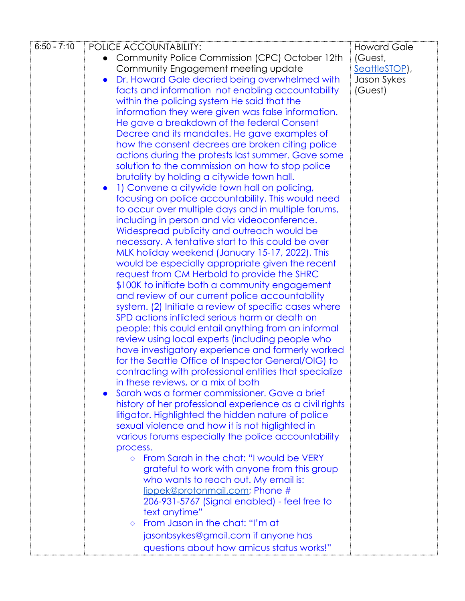| $6:50 - 7:10$ | POLICE ACCOUNTABILITY:                                                                                  | <b>Howard Gale</b> |
|---------------|---------------------------------------------------------------------------------------------------------|--------------------|
|               | Community Police Commission (CPC) October 12th                                                          | (Guest,            |
|               | Community Engagement meeting update                                                                     | SeattleSTOP),      |
|               | Dr. Howard Gale decried being overwhelmed with                                                          | Jason Sykes        |
|               | facts and information not enabling accountability                                                       | (Guest)            |
|               | within the policing system He said that the                                                             |                    |
|               | information they were given was false information.                                                      |                    |
|               | He gave a breakdown of the federal Consent                                                              |                    |
|               | Decree and its mandates. He gave examples of                                                            |                    |
|               | how the consent decrees are broken citing police                                                        |                    |
|               | actions during the protests last summer. Gave some                                                      |                    |
|               | solution to the commission on how to stop police                                                        |                    |
|               | brutality by holding a citywide town hall.                                                              |                    |
|               | 1) Convene a citywide town hall on policing,                                                            |                    |
|               | focusing on police accountability. This would need                                                      |                    |
|               | to occur over multiple days and in multiple forums,                                                     |                    |
|               | including in person and via videoconference.                                                            |                    |
|               | Widespread publicity and outreach would be                                                              |                    |
|               | necessary. A tentative start to this could be over                                                      |                    |
|               | MLK holiday weekend (January 15-17, 2022). This                                                         |                    |
|               | would be especially appropriate given the recent                                                        |                    |
|               | request from CM Herbold to provide the SHRC                                                             |                    |
|               | \$100K to initiate both a community engagement                                                          |                    |
|               | and review of our current police accountability                                                         |                    |
|               | system. (2) Initiate a review of specific cases where<br>SPD actions inflicted serious harm or death on |                    |
|               | people: this could entail anything from an informal                                                     |                    |
|               | review using local experts (including people who                                                        |                    |
|               | have investigatory experience and formerly worked                                                       |                    |
|               | for the Seattle Office of Inspector General/OIG) to                                                     |                    |
|               | contracting with professional entities that specialize                                                  |                    |
|               | in these reviews, or a mix of both                                                                      |                    |
|               | Sarah was a former commissioner. Gave a brief                                                           |                    |
|               | history of her professional experience as a civil rights                                                |                    |
|               | litigator. Highlighted the hidden nature of police                                                      |                    |
|               | sexual violence and how it is not higlighted in                                                         |                    |
|               | various forums especially the police accountability                                                     |                    |
|               | process.                                                                                                |                    |
|               | From Sarah in the chat: "I would be VERY<br>$\circ$                                                     |                    |
|               | grateful to work with anyone from this group                                                            |                    |
|               | who wants to reach out. My email is:                                                                    |                    |
|               | lippek@protonmail.com; Phone #                                                                          |                    |
|               | 206-931-5767 (Signal enabled) - feel free to                                                            |                    |
|               | text anytime"                                                                                           |                    |
|               | From Jason in the chat: "I'm at<br>$\circ$                                                              |                    |
|               | jasonbsykes@gmail.com if anyone has                                                                     |                    |
|               | questions about how amicus status works!"                                                               |                    |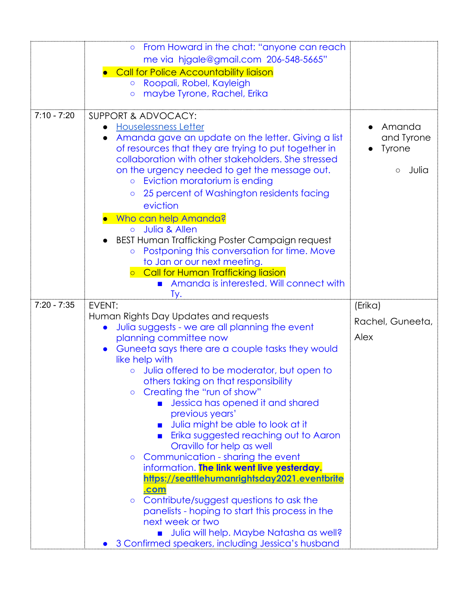|               | From Howard in the chat: "anyone can reach<br>$\circ$              |                     |
|---------------|--------------------------------------------------------------------|---------------------|
|               | me via hjgale@gmail.com 206-548-5665"                              |                     |
|               | Call for Police Accountability liaison                             |                     |
|               | Roopali, Robel, Kayleigh<br>$\circ$                                |                     |
|               | maybe Tyrone, Rachel, Erika<br>$\circ$                             |                     |
|               |                                                                    |                     |
| $7:10 - 7:20$ | SUPPORT & ADVOCACY:                                                |                     |
|               | <b>Houselessness Letter</b>                                        | Amanda              |
|               | Amanda gave an update on the letter. Giving a list                 | and Tyrone          |
|               | of resources that they are trying to put together in               | <b>Tyrone</b>       |
|               | collaboration with other stakeholders. She stressed                |                     |
|               | on the urgency needed to get the message out.                      | Julia<br>$\bigcirc$ |
|               | Eviction moratorium is ending                                      |                     |
|               | 25 percent of Washington residents facing<br>$\circ$               |                     |
|               | eviction                                                           |                     |
|               | Who can help Amanda?                                               |                     |
|               | Julia & Allen<br>$\circ$                                           |                     |
|               | BEST Human Trafficking Poster Campaign request                     |                     |
|               | Postponing this conversation for time. Move<br>$\circ$             |                     |
|               | to Jan or our next meeting.                                        |                     |
|               | Call for Human Trafficking liasion                                 |                     |
|               | Amanda is interested. Will connect with                            |                     |
|               |                                                                    |                     |
|               | Tу.                                                                |                     |
| $7:20 - 7:35$ | EVENT:                                                             | (Erika)             |
|               | Human Rights Day Updates and requests                              | Rachel, Guneeta,    |
|               | Julia suggests - we are all planning the event                     | Alex                |
|               | planning committee now                                             |                     |
|               | Guneeta says there are a couple tasks they would<br>like help with |                     |
|               | Julia offered to be moderator, but open to                         |                     |
|               | others taking on that responsibility                               |                     |
|               | Creating the "run of show"<br>$\circ$                              |                     |
|               | Jessica has opened it and shared                                   |                     |
|               | previous years'                                                    |                     |
|               | Julia might be able to look at it                                  |                     |
|               | Erika suggested reaching out to Aaron                              |                     |
|               | Oravillo for help as well                                          |                     |
|               | Communication - sharing the event<br>$\circ$                       |                     |
|               | information. The link went live yesterday.                         |                     |
|               | https://seattlehumanrightsday2021.eventbrite                       |                     |
|               | <u>.com</u>                                                        |                     |
|               | Contribute/suggest questions to ask the<br>$\circ$                 |                     |
|               | panelists - hoping to start this process in the                    |                     |
|               | next week or two<br>Julia will help. Maybe Natasha as well?        |                     |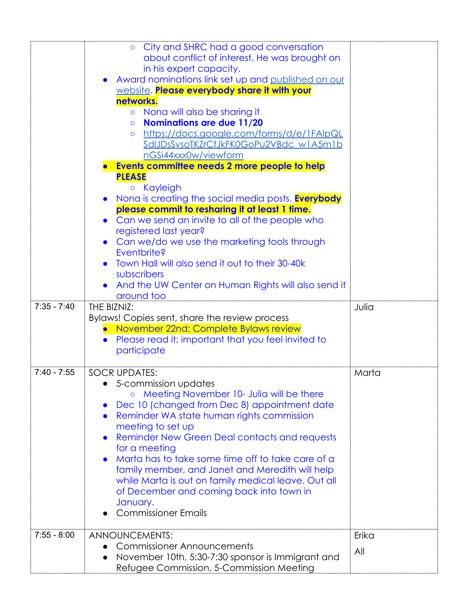|               | City and SHRC had a good conversation<br>$\circ$<br>about conflict of interest. He was brought on<br>in his expert capacity.<br>Award nominations link set up and published on our<br>website. Please everybody share it with your<br>networks.<br>Nona will also be sharing it<br>$\circ$<br><b>Nominations are due 11/20</b><br>$\circ$<br>https://docs.google.com/forms/d/e/1FAIpQL<br>$\circ$<br>SdIJDsSvsoTKZrCfJkFK0GoPu2VBdc w1A5m1b<br>nGSi44xxx0w/viewform |       |
|---------------|---------------------------------------------------------------------------------------------------------------------------------------------------------------------------------------------------------------------------------------------------------------------------------------------------------------------------------------------------------------------------------------------------------------------------------------------------------------------|-------|
|               | Events committee needs 2 more people to help<br><b>PLEASE</b><br><b>o</b> Kayleigh                                                                                                                                                                                                                                                                                                                                                                                  |       |
|               | Nona is creating the social media posts. <b>Everybody</b><br>please commit to resharing it at least 1 time.<br>Can we send an invite to all of the people who<br>registered last year?                                                                                                                                                                                                                                                                              |       |
|               | Can we/do we use the marketing tools through<br>Eventbrite?<br>Town Hall will also send it out to their 30-40k<br>subscribers<br>And the UW Center on Human Rights will also send it<br>around too                                                                                                                                                                                                                                                                  |       |
| $7:35 - 7:40$ | THE BIZNIZ:                                                                                                                                                                                                                                                                                                                                                                                                                                                         |       |
|               |                                                                                                                                                                                                                                                                                                                                                                                                                                                                     | Julia |
|               | Bylaws! Copies sent, share the review process                                                                                                                                                                                                                                                                                                                                                                                                                       |       |
|               | November 22nd: Complete Bylaws review                                                                                                                                                                                                                                                                                                                                                                                                                               |       |
|               | Please read it; important that you feel invited to<br>$\bullet$<br>participate                                                                                                                                                                                                                                                                                                                                                                                      |       |
| $7:40 - 7:55$ | <b>SOCR UPDATES:</b><br>5-commission updates                                                                                                                                                                                                                                                                                                                                                                                                                        | Marta |
|               | ○ Meeting November 10- Julia will be there<br>Dec 10 (changed from Dec 8) appointment date<br>Reminder WA state human rights commission<br>meeting to set up                                                                                                                                                                                                                                                                                                        |       |
|               | <b>Reminder New Green Deal contacts and requests</b><br>for a meeting<br>Marta has to take some time off to take care of a                                                                                                                                                                                                                                                                                                                                          |       |
|               | family member, and Janet and Meredith will help<br>while Marta is out on family medical leave. Out all<br>of December and coming back into town in<br>January.                                                                                                                                                                                                                                                                                                      |       |
|               | <b>Commissioner Emails</b>                                                                                                                                                                                                                                                                                                                                                                                                                                          |       |
| $7:55 - 8:00$ |                                                                                                                                                                                                                                                                                                                                                                                                                                                                     |       |
|               | ANNOUNCEMENTS:<br><b>Commissioner Announcements</b>                                                                                                                                                                                                                                                                                                                                                                                                                 | Erika |
|               | November 10th, 5:30-7:30 sponsor is Immigrant and<br>Refugee Commission, 5-Commission Meeting                                                                                                                                                                                                                                                                                                                                                                       | All   |